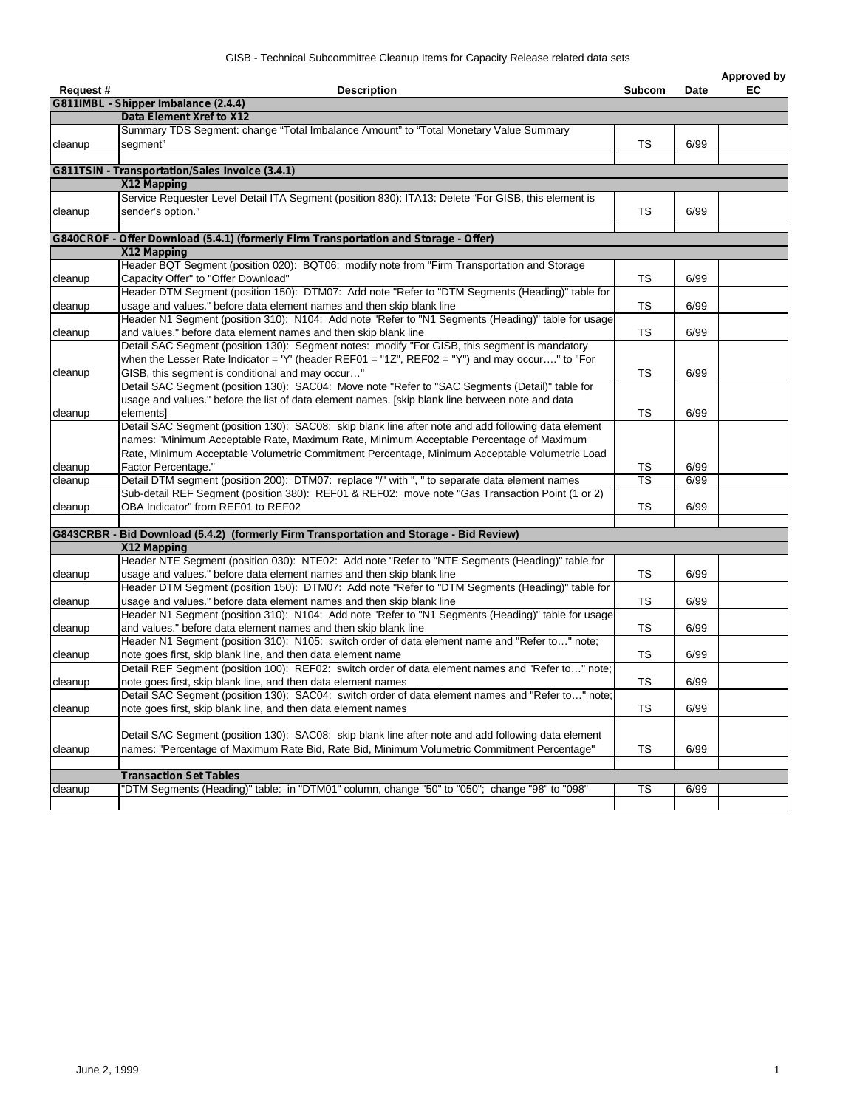| Request# | <b>Description</b>                                                                                  | Subcom    | Date | Approved by<br>EC |
|----------|-----------------------------------------------------------------------------------------------------|-----------|------|-------------------|
|          | G811IMBL - Shipper Imbalance (2.4.4)                                                                |           |      |                   |
|          | Data Element Xref to X12                                                                            |           |      |                   |
|          | Summary TDS Segment: change "Total Imbalance Amount" to "Total Monetary Value Summary               |           |      |                   |
| cleanup  | seament"                                                                                            | TS        | 6/99 |                   |
|          |                                                                                                     |           |      |                   |
|          | G811TSIN - Transportation/Sales Invoice (3.4.1)                                                     |           |      |                   |
|          | X12 Mapping                                                                                         |           |      |                   |
|          | Service Requester Level Detail ITA Segment (position 830): ITA13: Delete "For GISB, this element is |           |      |                   |
| cleanup  | sender's option."                                                                                   | TS        | 6/99 |                   |
|          |                                                                                                     |           |      |                   |
|          | G840CROF - Offer Download (5.4.1) (formerly Firm Transportation and Storage - Offer)                |           |      |                   |
|          | X12 Mapping                                                                                         |           |      |                   |
|          | Header BQT Segment (position 020): BQT06: modify note from "Firm Transportation and Storage         |           |      |                   |
| cleanup  | Capacity Offer" to "Offer Download"                                                                 | TS        | 6/99 |                   |
|          | Header DTM Segment (position 150): DTM07: Add note "Refer to "DTM Segments (Heading)" table for     |           |      |                   |
| cleanup  | usage and values." before data element names and then skip blank line                               | TS        | 6/99 |                   |
|          | Header N1 Segment (position 310): N104: Add note "Refer to "N1 Segments (Heading)" table for usage  |           |      |                   |
| cleanup  | and values." before data element names and then skip blank line                                     | TS        | 6/99 |                   |
|          | Detail SAC Segment (position 130): Segment notes: modify "For GISB, this segment is mandatory       |           |      |                   |
|          | when the Lesser Rate Indicator = 'Y' (header REF01 = "1Z", REF02 = "Y") and may occur" to "For      |           |      |                   |
| cleanup  | GISB, this segment is conditional and may occur"                                                    | TS        | 6/99 |                   |
|          | Detail SAC Segment (position 130): SAC04: Move note "Refer to "SAC Segments (Detail)" table for     |           |      |                   |
|          | usage and values." before the list of data element names. [skip blank line between note and data    |           |      |                   |
| cleanup  | elementsl                                                                                           | <b>TS</b> | 6/99 |                   |
|          | Detail SAC Segment (position 130): SAC08: skip blank line after note and add following data element |           |      |                   |
|          | names: "Minimum Acceptable Rate, Maximum Rate, Minimum Acceptable Percentage of Maximum             |           |      |                   |
|          | Rate, Minimum Acceptable Volumetric Commitment Percentage, Minimum Acceptable Volumetric Load       |           |      |                   |
| cleanup  | Factor Percentage."                                                                                 | TS        | 6/99 |                   |
| cleanup  | Detail DTM segment (position 200): DTM07: replace "/" with ", " to separate data element names      | <b>TS</b> | 6/99 |                   |
|          | Sub-detail REF Segment (position 380): REF01 & REF02: move note "Gas Transaction Point (1 or 2)     |           |      |                   |
| cleanup  | OBA Indicator" from REF01 to REF02                                                                  | TS        | 6/99 |                   |
|          | G843CRBR - Bid Download (5.4.2) (formerly Firm Transportation and Storage - Bid Review)             |           |      |                   |
|          | X12 Mapping                                                                                         |           |      |                   |
|          | Header NTE Segment (position 030): NTE02: Add note "Refer to "NTE Segments (Heading)" table for     |           |      |                   |
| cleanup  | usage and values." before data element names and then skip blank line                               | TS        | 6/99 |                   |
|          | Header DTM Segment (position 150): DTM07: Add note "Refer to "DTM Segments (Heading)" table for     |           |      |                   |
| cleanup  | usage and values." before data element names and then skip blank line                               | TS        | 6/99 |                   |
|          | Header N1 Segment (position 310): N104: Add note "Refer to "N1 Segments (Heading)" table for usage  |           |      |                   |
| cleanup  | and values." before data element names and then skip blank line                                     | TS        | 6/99 |                   |
|          | Header N1 Segment (position 310): N105: switch order of data element name and "Refer to" note;      |           |      |                   |
| cleanup  | note goes first, skip blank line, and then data element name                                        | TS        | 6/99 |                   |
|          | Detail REF Segment (position 100): REF02: switch order of data element names and "Refer to" note;   |           |      |                   |
| cleanup  | note goes first, skip blank line, and then data element names                                       | TS        | 6/99 |                   |
|          | Detail SAC Segment (position 130): SAC04: switch order of data element names and "Refer to" note;   |           |      |                   |
| cleanup  | note goes first, skip blank line, and then data element names                                       | <b>TS</b> | 6/99 |                   |
|          |                                                                                                     |           |      |                   |
|          | Detail SAC Segment (position 130): SAC08: skip blank line after note and add following data element |           |      |                   |
| cleanup  | names: "Percentage of Maximum Rate Bid, Rate Bid, Minimum Volumetric Commitment Percentage"         | <b>TS</b> | 6/99 |                   |
|          |                                                                                                     |           |      |                   |
|          | <b>Transaction Set Tables</b>                                                                       |           |      |                   |
| cleanup  | "DTM Segments (Heading)" table: in "DTM01" column, change "50" to "050"; change "98" to "098"       | TS        | 6/99 |                   |
|          |                                                                                                     |           |      |                   |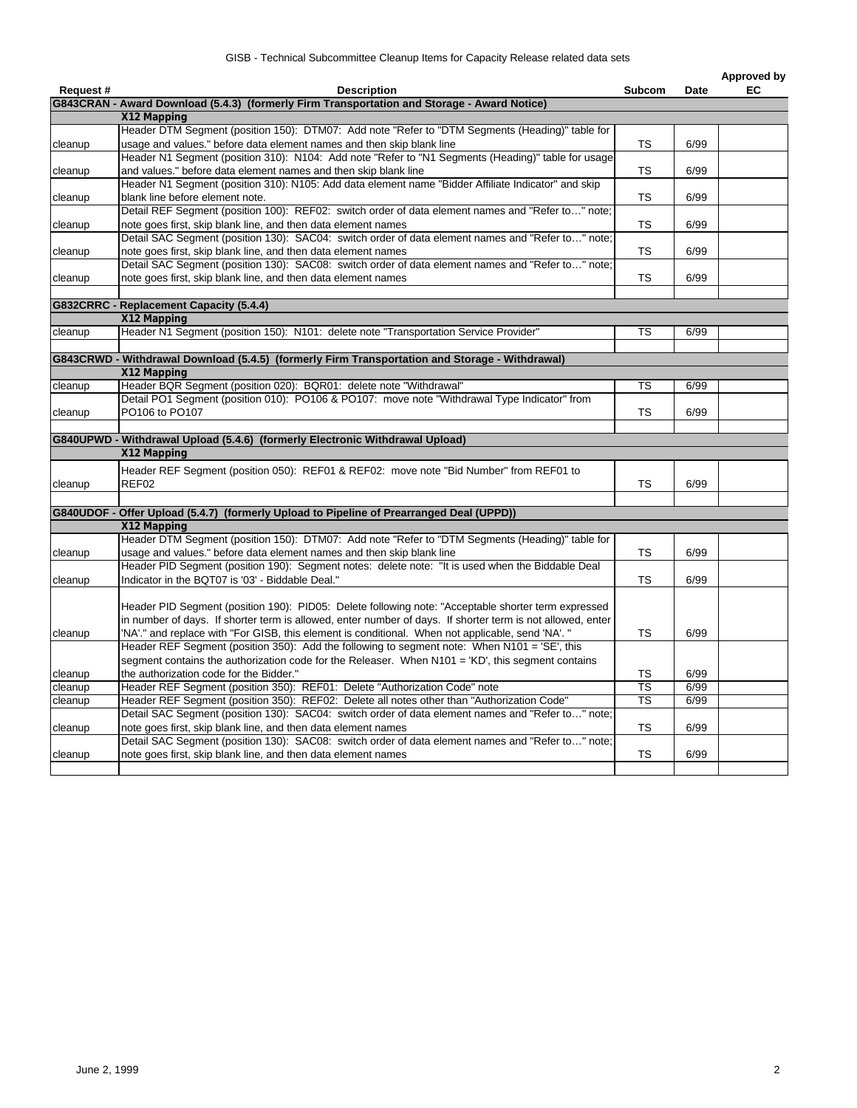|          |                                                                                                                                                                       |                          |      | Approved by |
|----------|-----------------------------------------------------------------------------------------------------------------------------------------------------------------------|--------------------------|------|-------------|
| Request# | <b>Description</b>                                                                                                                                                    | Subcom                   | Date | EC          |
|          | G843CRAN - Award Download (5.4.3) (formerly Firm Transportation and Storage - Award Notice)                                                                           |                          |      |             |
|          | X12 Mapping                                                                                                                                                           |                          |      |             |
|          | Header DTM Segment (position 150): DTM07: Add note "Refer to "DTM Segments (Heading)" table for                                                                       |                          |      |             |
| cleanup  | usage and values." before data element names and then skip blank line                                                                                                 | TS                       | 6/99 |             |
|          | Header N1 Segment (position 310): N104: Add note "Refer to "N1 Segments (Heading)" table for usage<br>and values." before data element names and then skip blank line | <b>TS</b>                | 6/99 |             |
| cleanup  | Header N1 Segment (position 310): N105: Add data element name "Bidder Affiliate Indicator" and skip                                                                   |                          |      |             |
|          | blank line before element note.                                                                                                                                       | TS                       | 6/99 |             |
| cleanup  | Detail REF Segment (position 100): REF02: switch order of data element names and "Refer to" note;                                                                     |                          |      |             |
| cleanup  | note goes first, skip blank line, and then data element names                                                                                                         | TS.                      | 6/99 |             |
|          | Detail SAC Segment (position 130): SAC04: switch order of data element names and "Refer to" note;                                                                     |                          |      |             |
| cleanup  | note goes first, skip blank line, and then data element names                                                                                                         | <b>TS</b>                | 6/99 |             |
|          | Detail SAC Segment (position 130): SAC08: switch order of data element names and "Refer to" note;                                                                     |                          |      |             |
| cleanup  | note goes first, skip blank line, and then data element names                                                                                                         | TS                       | 6/99 |             |
|          |                                                                                                                                                                       |                          |      |             |
|          | G832CRRC - Replacement Capacity (5.4.4)                                                                                                                               |                          |      |             |
|          | X12 Mapping                                                                                                                                                           |                          |      |             |
| cleanup  | Header N1 Segment (position 150): N101: delete note "Transportation Service Provider"                                                                                 | TS                       | 6/99 |             |
|          |                                                                                                                                                                       |                          |      |             |
|          | G843CRWD - Withdrawal Download (5.4.5) (formerly Firm Transportation and Storage - Withdrawal)                                                                        |                          |      |             |
|          | X12 Mapping                                                                                                                                                           |                          |      |             |
| cleanup  | Header BQR Segment (position 020): BQR01: delete note "Withdrawal"                                                                                                    | TS                       | 6/99 |             |
|          | Detail PO1 Segment (position 010): PO106 & PO107: move note "Withdrawal Type Indicator" from                                                                          |                          |      |             |
| cleanup  | PO106 to PO107                                                                                                                                                        | <b>TS</b>                | 6/99 |             |
|          |                                                                                                                                                                       |                          |      |             |
|          | G840UPWD - Withdrawal Upload (5.4.6) (formerly Electronic Withdrawal Upload)                                                                                          |                          |      |             |
|          | X12 Mapping                                                                                                                                                           |                          |      |             |
|          | Header REF Segment (position 050): REF01 & REF02: move note "Bid Number" from REF01 to                                                                                |                          |      |             |
| cleanup  | REF02                                                                                                                                                                 | TS                       | 6/99 |             |
|          |                                                                                                                                                                       |                          |      |             |
|          | G840UDOF - Offer Upload (5.4.7) (formerly Upload to Pipeline of Prearranged Deal (UPPD))                                                                              |                          |      |             |
|          | X12 Mapping                                                                                                                                                           |                          |      |             |
|          | Header DTM Segment (position 150): DTM07: Add note "Refer to "DTM Segments (Heading)" table for                                                                       |                          |      |             |
| cleanup  | usage and values." before data element names and then skip blank line                                                                                                 | <b>TS</b>                | 6/99 |             |
|          | Header PID Segment (position 190): Segment notes: delete note: "It is used when the Biddable Deal                                                                     |                          |      |             |
| cleanup  | Indicator in the BQT07 is '03' - Biddable Deal."                                                                                                                      | TS                       | 6/99 |             |
|          |                                                                                                                                                                       |                          |      |             |
|          | Header PID Segment (position 190): PID05: Delete following note: "Acceptable shorter term expressed                                                                   |                          |      |             |
|          | in number of days. If shorter term is allowed, enter number of days. If shorter term is not allowed, enter                                                            |                          |      |             |
| cleanup  | "NA'." and replace with "For GISB, this element is conditional. When not applicable, send 'NA'. "                                                                     | <b>TS</b>                | 6/99 |             |
|          | Header REF Segment (position 350): Add the following to segment note: When N101 = 'SE', this                                                                          |                          |      |             |
|          | segment contains the authorization code for the Releaser. When N101 = 'KD', this segment contains                                                                     |                          |      |             |
| cleanup  | the authorization code for the Bidder."                                                                                                                               | <b>TS</b>                | 6/99 |             |
| cleanup  | Header REF Segment (position 350): REF01: Delete "Authorization Code" note                                                                                            | $\overline{\mathsf{TS}}$ | 6/99 |             |
| cleanup  | Header REF Segment (position 350): REF02: Delete all notes other than "Authorization Code"                                                                            | <b>TS</b>                | 6/99 |             |
|          | Detail SAC Segment (position 130): SAC04: switch order of data element names and "Refer to" note;                                                                     |                          |      |             |
| cleanup  | note goes first, skip blank line, and then data element names                                                                                                         | TS                       | 6/99 |             |
|          | Detail SAC Segment (position 130): SAC08: switch order of data element names and "Refer to" note:                                                                     |                          |      |             |
| cleanup  | note goes first, skip blank line, and then data element names                                                                                                         | TS                       | 6/99 |             |
|          |                                                                                                                                                                       |                          |      |             |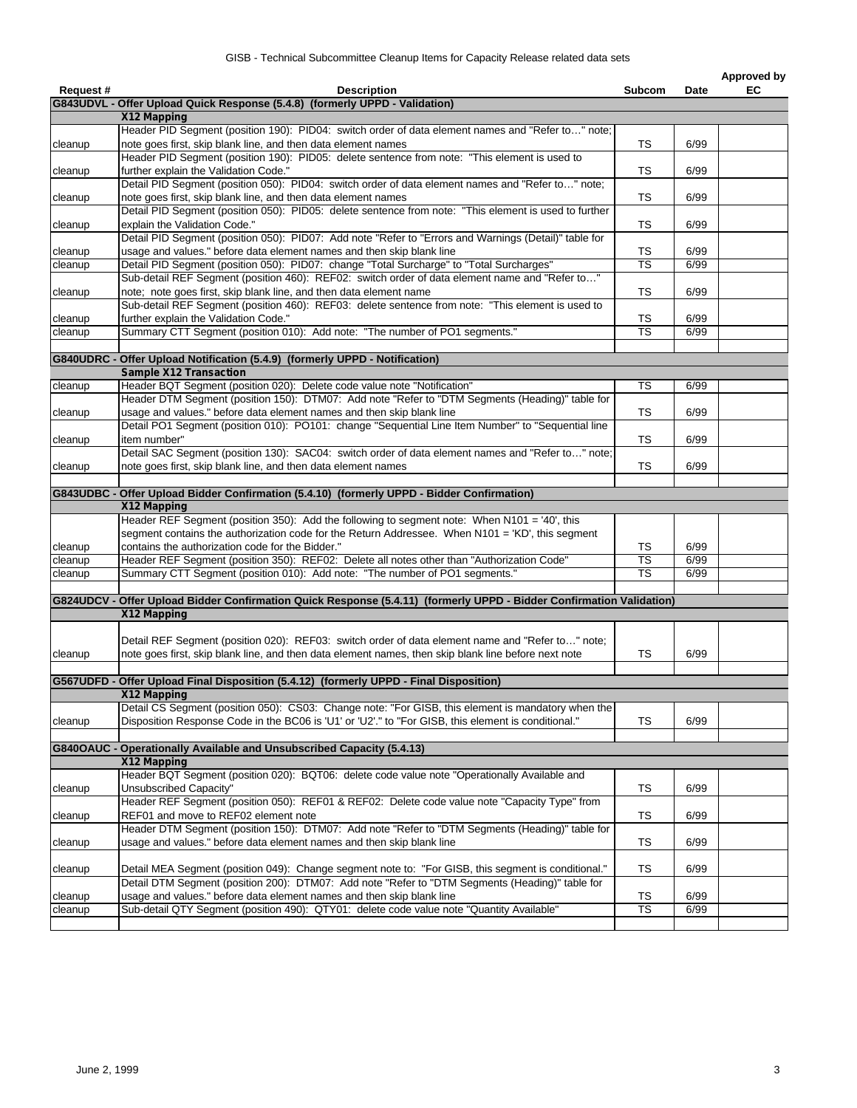|          |                                                                                                                      |                          |             | Approved by |
|----------|----------------------------------------------------------------------------------------------------------------------|--------------------------|-------------|-------------|
| Request# | <b>Description</b>                                                                                                   | <b>Subcom</b>            | <b>Date</b> | EC          |
|          | G843UDVL - Offer Upload Quick Response (5.4.8) (formerly UPPD - Validation)                                          |                          |             |             |
|          | X12 Mapping                                                                                                          |                          |             |             |
|          | Header PID Segment (position 190): PID04: switch order of data element names and "Refer to" note;                    |                          |             |             |
| cleanup  | note goes first, skip blank line, and then data element names                                                        | TS                       | 6/99        |             |
|          | Header PID Segment (position 190): PID05: delete sentence from note: "This element is used to                        |                          |             |             |
| cleanup  | further explain the Validation Code."                                                                                | TS                       | 6/99        |             |
|          | Detail PID Segment (position 050): PID04: switch order of data element names and "Refer to" note;                    |                          |             |             |
| cleanup  | note goes first, skip blank line, and then data element names                                                        | TS                       | 6/99        |             |
|          | Detail PID Segment (position 050): PID05: delete sentence from note: "This element is used to further                |                          |             |             |
| cleanup  | explain the Validation Code."                                                                                        | TS                       | 6/99        |             |
|          | Detail PID Segment (position 050): PID07: Add note "Refer to "Errors and Warnings (Detail)" table for                |                          |             |             |
| cleanup  | usage and values." before data element names and then skip blank line                                                | TS                       | 6/99        |             |
| cleanup  | Detail PID Segment (position 050): PID07: change "Total Surcharge" to "Total Surcharges"                             | $\overline{\text{TS}}$   | 6/99        |             |
|          | Sub-detail REF Segment (position 460): REF02: switch order of data element name and "Refer to"                       |                          |             |             |
| cleanup  | note; note goes first, skip blank line, and then data element name                                                   | TS                       | 6/99        |             |
|          | Sub-detail REF Segment (position 460): REF03: delete sentence from note: "This element is used to                    |                          |             |             |
| cleanup  | further explain the Validation Code."                                                                                | TS                       | 6/99        |             |
| cleanup  | Summary CTT Segment (position 010): Add note: "The number of PO1 segments."                                          | TS                       | 6/99        |             |
|          |                                                                                                                      |                          |             |             |
|          | G840UDRC - Offer Upload Notification (5.4.9) (formerly UPPD - Notification)                                          |                          |             |             |
|          | <b>Sample X12 Transaction</b>                                                                                        |                          |             |             |
| cleanup  | Header BQT Segment (position 020): Delete code value note "Notification"                                             | TS                       | 6/99        |             |
|          | Header DTM Segment (position 150): DTM07: Add note "Refer to "DTM Segments (Heading)" table for                      |                          |             |             |
| cleanup  | usage and values." before data element names and then skip blank line                                                | TS                       | 6/99        |             |
|          | Detail PO1 Segment (position 010): PO101: change "Sequential Line Item Number" to "Sequential line                   |                          |             |             |
| cleanup  | item number"                                                                                                         | TS                       | 6/99        |             |
|          | Detail SAC Segment (position 130): SAC04: switch order of data element names and "Refer to" note;                    |                          |             |             |
| cleanup  | note goes first, skip blank line, and then data element names                                                        | TS                       | 6/99        |             |
|          |                                                                                                                      |                          |             |             |
|          | G843UDBC - Offer Upload Bidder Confirmation (5.4.10) (formerly UPPD - Bidder Confirmation)                           |                          |             |             |
|          | X12 Mapping                                                                                                          |                          |             |             |
|          | Header REF Segment (position 350): Add the following to segment note: When N101 = '40', this                         |                          |             |             |
|          | segment contains the authorization code for the Return Addressee. When N101 = 'KD', this segment                     |                          |             |             |
| cleanup  | contains the authorization code for the Bidder."                                                                     | TS                       | 6/99        |             |
| cleanup  | Header REF Segment (position 350): REF02: Delete all notes other than "Authorization Code"                           | $\overline{\mathsf{TS}}$ | 6/99        |             |
| cleanup  | Summary CTT Segment (position 010): Add note: "The number of PO1 segments."                                          | TS                       | 6/99        |             |
|          |                                                                                                                      |                          |             |             |
|          | G824UDCV - Offer Upload Bidder Confirmation Quick Response (5.4.11) (formerly UPPD - Bidder Confirmation Validation) |                          |             |             |
|          | X12 Mapping                                                                                                          |                          |             |             |
|          |                                                                                                                      |                          |             |             |
|          | Detail REF Segment (position 020): REF03: switch order of data element name and "Refer to" note;                     |                          |             |             |
| cleanup  | note goes first, skip blank line, and then data element names, then skip blank line before next note                 | TS                       | 6/99        |             |
|          |                                                                                                                      |                          |             |             |
|          | G567UDFD - Offer Upload Final Disposition (5.4.12) (formerly UPPD - Final Disposition)                               |                          |             |             |
|          | X12 Mapping                                                                                                          |                          |             |             |
|          | Detail CS Segment (position 050): CS03: Change note: "For GISB, this element is mandatory when the                   |                          |             |             |
| cleanup  | Disposition Response Code in the BC06 is 'U1' or 'U2'." to "For GISB, this element is conditional."                  | <b>TS</b>                | 6/99        |             |
|          |                                                                                                                      |                          |             |             |
|          | <b>G840OAUC - Operationally Available and Unsubscribed Capacity (5.4.13)</b>                                         |                          |             |             |
|          | X12 Mapping                                                                                                          |                          |             |             |
|          | Header BQT Segment (position 020): BQT06: delete code value note "Operationally Available and                        |                          |             |             |
| cleanup  | Unsubscribed Capacity"                                                                                               | <b>TS</b>                | 6/99        |             |
|          | Header REF Segment (position 050): REF01 & REF02: Delete code value note "Capacity Type" from                        |                          |             |             |
| cleanup  | REF01 and move to REF02 element note                                                                                 | TS                       | 6/99        |             |
|          | Header DTM Segment (position 150): DTM07: Add note "Refer to "DTM Segments (Heading)" table for                      |                          |             |             |
| cleanup  | usage and values." before data element names and then skip blank line                                                | TS                       | 6/99        |             |
|          |                                                                                                                      |                          |             |             |
| cleanup  | Detail MEA Segment (position 049): Change segment note to: "For GISB, this segment is conditional."                  | TS                       | 6/99        |             |
|          | Detail DTM Segment (position 200): DTM07: Add note "Refer to "DTM Segments (Heading)" table for                      |                          |             |             |
| cleanup  | usage and values." before data element names and then skip blank line                                                | TS                       | 6/99        |             |
| cleanup  | Sub-detail QTY Segment (position 490): QTY01: delete code value note "Quantity Available"                            | TS                       | 6/99        |             |
|          |                                                                                                                      |                          |             |             |